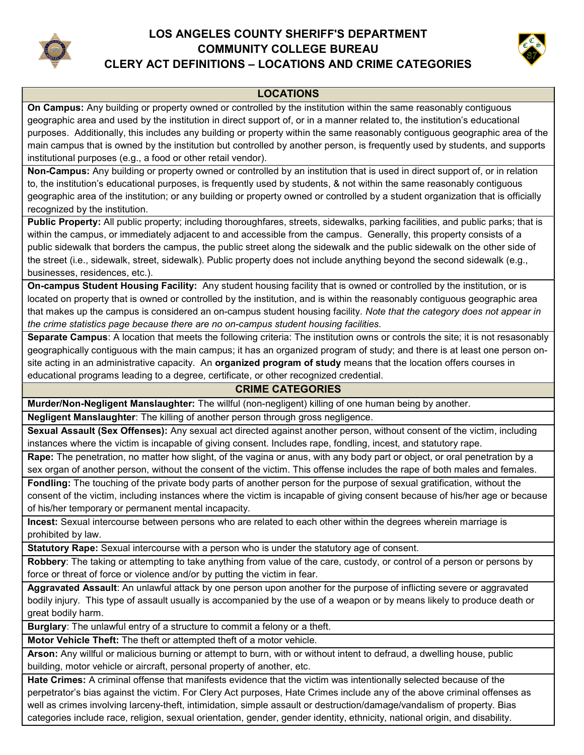

# LOS ANGELES COUNTY SHERIFF'S DEPARTMENT COMMUNITY COLLEGE BUREAU



## CLERY ACT DEFINITIONS – LOCATIONS AND CRIME CATEGORIES

### LOCATIONS

On Campus: Any building or property owned or controlled by the institution within the same reasonably contiguous geographic area and used by the institution in direct support of, or in a manner related to, the institution's educational purposes. Additionally, this includes any building or property within the same reasonably contiguous geographic area of the main campus that is owned by the institution but controlled by another person, is frequently used by students, and supports institutional purposes (e.g., a food or other retail vendor).

Non-Campus: Any building or property owned or controlled by an institution that is used in direct support of, or in relation to, the institution's educational purposes, is frequently used by students, & not within the same reasonably contiguous geographic area of the institution; or any building or property owned or controlled by a student organization that is officially recognized by the institution.

Public Property: All public property; including thoroughfares, streets, sidewalks, parking facilities, and public parks; that is within the campus, or immediately adjacent to and accessible from the campus. Generally, this property consists of a public sidewalk that borders the campus, the public street along the sidewalk and the public sidewalk on the other side of the street (i.e., sidewalk, street, sidewalk). Public property does not include anything beyond the second sidewalk (e.g., businesses, residences, etc.).

On-campus Student Housing Facility: Any student housing facility that is owned or controlled by the institution, or is located on property that is owned or controlled by the institution, and is within the reasonably contiguous geographic area that makes up the campus is considered an on-campus student housing facility. Note that the category does not appear in the crime statistics page because there are no on-campus student housing facilities.

Separate Campus: A location that meets the following criteria: The institution owns or controls the site; it is not resasonably geographically contiguous with the main campus; it has an organized program of study; and there is at least one person onsite acting in an administrative capacity. An **organized program of study** means that the location offers courses in educational programs leading to a degree, certificate, or other recognized credential.

### CRIME CATEGORIES

Murder/Non-Negligent Manslaughter: The willful (non-negligent) killing of one human being by another.

Negligent Manslaughter: The killing of another person through gross negligence.

Sexual Assault (Sex Offenses): Any sexual act directed against another person, without consent of the victim, including instances where the victim is incapable of giving consent. Includes rape, fondling, incest, and statutory rape.

Rape: The penetration, no matter how slight, of the vagina or anus, with any body part or object, or oral penetration by a sex organ of another person, without the consent of the victim. This offense includes the rape of both males and females.

Fondling: The touching of the private body parts of another person for the purpose of sexual gratification, without the consent of the victim, including instances where the victim is incapable of giving consent because of his/her age or because of his/her temporary or permanent mental incapacity.

Incest: Sexual intercourse between persons who are related to each other within the degrees wherein marriage is prohibited by law.

**Statutory Rape:** Sexual intercourse with a person who is under the statutory age of consent.

Robbery: The taking or attempting to take anything from value of the care, custody, or control of a person or persons by force or threat of force or violence and/or by putting the victim in fear.

Aggravated Assault: An unlawful attack by one person upon another for the purpose of inflicting severe or aggravated bodily injury. This type of assault usually is accompanied by the use of a weapon or by means likely to produce death or great bodily harm.

**Burglary**: The unlawful entry of a structure to commit a felony or a theft.

Motor Vehicle Theft: The theft or attempted theft of a motor vehicle.

Arson: Any willful or malicious burning or attempt to burn, with or without intent to defraud, a dwelling house, public building, motor vehicle or aircraft, personal property of another, etc.

Hate Crimes: A criminal offense that manifests evidence that the victim was intentionally selected because of the perpetrator's bias against the victim. For Clery Act purposes, Hate Crimes include any of the above criminal offenses as well as crimes involving larceny-theft, intimidation, simple assault or destruction/damage/vandalism of property. Bias categories include race, religion, sexual orientation, gender, gender identity, ethnicity, national origin, and disability.